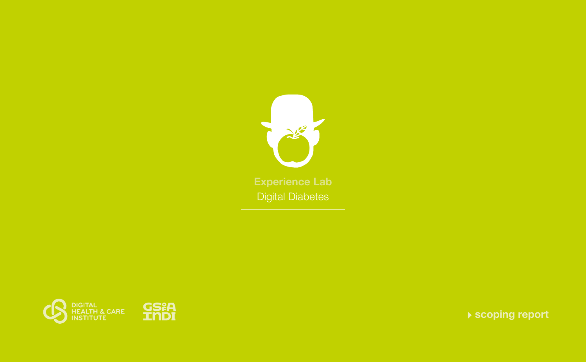



**scoping report**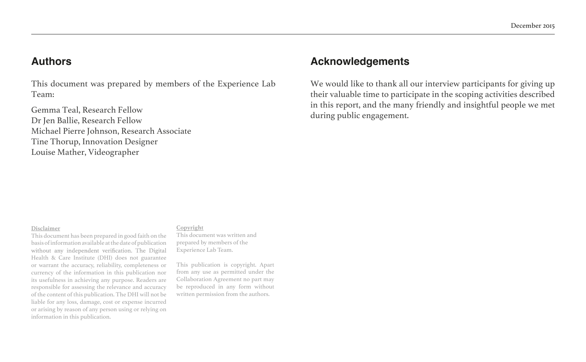# **Authors**

This document was prepared by members of the Experience Lab Team:

Gemma Teal, Research Fellow Dr Jen Ballie, Research Fellow Michael Pierre Johnson, Research Associate Tine Thorup, Innovation Designer Louise Mather, Videographer

# **Acknowledgements**

We would like to thank all our interview participants for giving up their valuable time to participate in the scoping activities described in this report, and the many friendly and insightful people we met during public engagement.

#### **Disclaimer**

This document has been prepared in good faith on the basis of information available at the date of publication<br>without any independent verification. The Digital Health & Care Institute (DHI) does not guarantee or warrant the accuracy, reliability, completeness or currency of the information in this publication nor its usefulness in achieving any purpose. Readers are responsible for assessing the relevance and accuracy of the content of this publication. The DHI will not be liable for any loss, damage, cost or expense incurred or arising by reason of any person using or relying on information in this publication.

#### **Copyright**

This document was written and prepared by members of the Experience Lab Team.

This publication is copyright. Apart from any use as permitted under the Collaboration Agreement no part may be reproduced in any form without written permission from the authors.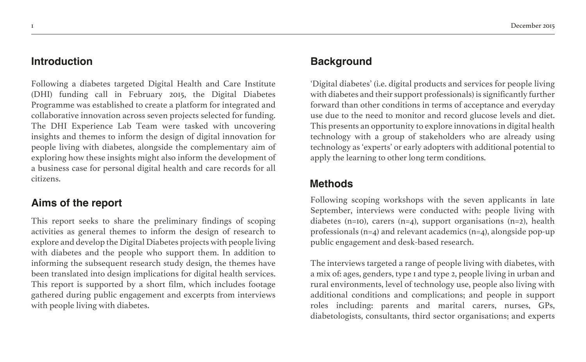# **Introduction**

Following a diabetes targeted Digital Health and Care Institute (DHI) funding call in February 2015, the Digital Diabetes Programme was established to create a platform for integrated and collaborative innovation across seven projects selected for funding. The DHI Experience Lab Team were tasked with uncovering insights and themes to inform the design of digital innovation for people living with diabetes, alongside the complementary aim of exploring how these insights might also inform the development of a business case for personal digital health and care records for all citizens.

# **Aims of the report**

This report seeks to share the preliminary findings of scoping activities as general themes to inform the design of research to explore and develop the Digital Diabetes projects with people living with diabetes and the people who support them. In addition to informing the subsequent research study design, the themes have been translated into design implications for digital health services. This report is supported by a short film, which includes footage gathered during public engagement and excerpts from interviews with people living with diabetes.

# **Background**

'Digital diabetes' (i.e. digital products and services for people living with diabetes and their support professionals) is significantly further forward than other conditions in terms of acceptance and everyday use due to the need to monitor and record glucose levels and diet. This presents an opportunity to explore innovations in digital health technology with a group of stakeholders who are already using technology as 'experts' or early adopters with additional potential to apply the learning to other long term conditions.

# **Methods**

Following scoping workshops with the seven applicants in late September, interviews were conducted with: people living with diabetes (n=10), carers (n=4), support organisations (n=2), health professionals (n=4) and relevant academics (n=4), alongside pop-up public engagement and desk-based research.

The interviews targeted a range of people living with diabetes, with a mix of: ages, genders, type 1 and type 2, people living in urban and rural environments, level of technology use, people also living with additional conditions and complications; and people in support roles including: parents and marital carers, nurses, GPs, diabetologists, consultants, third sector organisations; and experts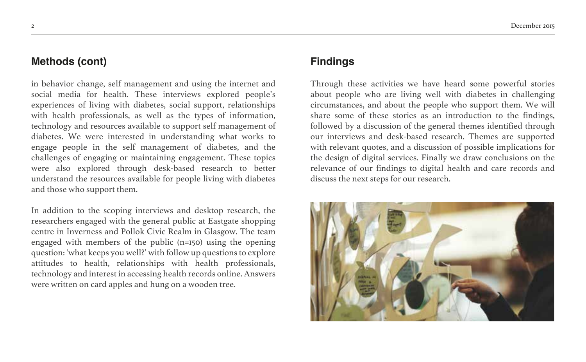in behavior change, self management and using the internet and social media for health. These interviews explored people's experiences of living with diabetes, social support, relationships with health professionals, as well as the types of information, technology and resources available to support self management of diabetes. We were interested in understanding what works to engage people in the self management of diabetes, and the challenges of engaging or maintaining engagement. These topics were also explored through desk-based research to better understand the resources available for people living with diabetes and those who support them.

In addition to the scoping interviews and desktop research, the researchers engaged with the general public at Eastgate shopping centre in Inverness and Pollok Civic Realm in Glasgow. The team engaged with members of the public (n=150) using the opening question: 'what keeps you well?' with follow up questions to explore attitudes to health, relationships with health professionals, technology and interest in accessing health records online. Answers were written on card apples and hung on a wooden tree.

# **Findings**

Through these activities we have heard some powerful stories about people who are living well with diabetes in challenging circumstances, and about the people who support them. We will share some of these stories as an introduction to the findings, followed by a discussion of the general themes identified through our interviews and desk-based research. Themes are supported with relevant quotes, and a discussion of possible implications for the design of digital services. Finally we draw conclusions on the relevance of our findings to digital health and care records and discuss the next steps for our research.

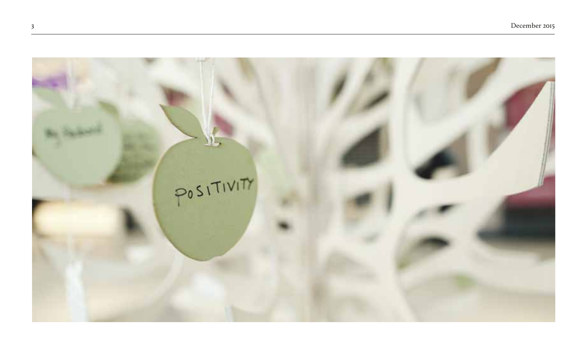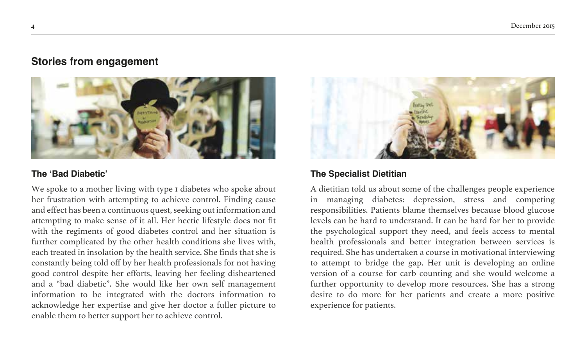# **Stories from engagement**





We spoke to a mother living with type I diabetes who spoke about her frustration with attempting to achieve control. Finding cause and effect has been a continuous quest, seeking out information and attempting to make sense of it all. Her hectic lifestyle does not fit with the regiments of good diabetes control and her situation is further complicated by the other health conditions she lives with, each treated in insolation by the health service. She finds that she is constantly being told off by her health professionals for not having good control despite her efforts, leaving her feeling disheartened and a "bad diabetic". She would like her own self management information to be integrated with the doctors information to acknowledge her expertise and give her doctor a fuller picture to enable them to better support her to achieve control.



#### **The 'Bad Diabetic' The Specialist Dietitian**

A dietitian told us about some of the challenges people experience in managing diabetes: depression, stress and competing responsibilities. Patients blame themselves because blood glucose levels can be hard to understand. It can be hard for her to provide the psychological support they need, and feels access to mental health professionals and better integration between services is required. She has undertaken a course in motivational interviewing to attempt to bridge the gap. Her unit is developing an online version of a course for carb counting and she would welcome a further opportunity to develop more resources. She has a strong desire to do more for her patients and create a more positive experience for patients.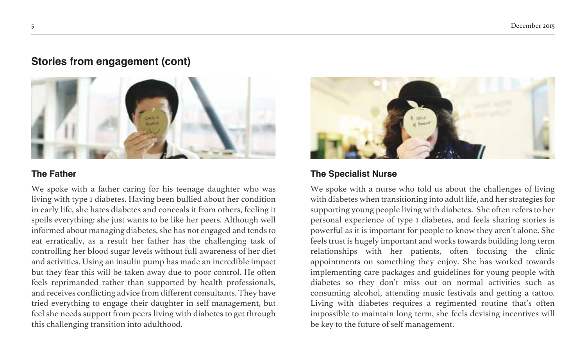# **Stories from engagement (cont)**



We spoke with a father caring for his teenage daughter who was living with type 1 diabetes. Having been bullied about her condition in early life, she hates diabetes and conceals it from others, feeling it spoils everything: she just wants to be like her peers. Although well informed about managing diabetes, she has not engaged and tends to eat erratically, as a result her father has the challenging task of controlling her blood sugar levels without full awareness of her diet and activities. Using an insulin pump has made an incredible impact but they fear this will be taken away due to poor control. He often feels reprimanded rather than supported by health professionals, and receives conflicting advice from different consultants. They have tried everything to engage their daughter in self management, but feel she needs support from peers living with diabetes to get through this challenging transition into adulthood.



# **The Father The Specialist Nurse**

We spoke with a nurse who told us about the challenges of living with diabetes when transitioning into adult life, and her strategies for supporting young people living with diabetes. She often refers to her personal experience of type 1 diabetes, and feels sharing stories is powerful as it is important for people to know they aren't alone. She feels trust is hugely important and works towards building long term relationships with her patients, often focusing the clinic appointments on something they enjoy. She has worked towards implementing care packages and guidelines for young people with diabetes so they don't miss out on normal activities such as consuming alcohol, attending music festivals and getting a tattoo. Living with diabetes requires a regimented routine that's often impossible to maintain long term, she feels devising incentives will be key to the future of self management.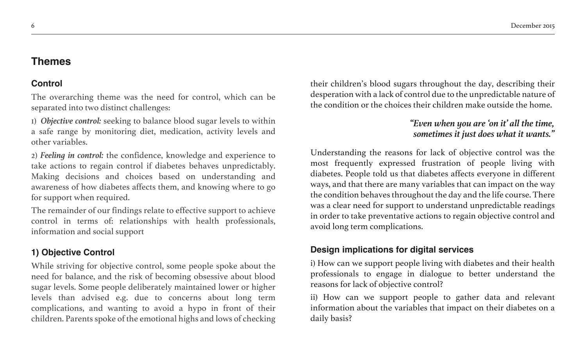# **Themes**

#### **Control**

The overarching theme was the need for control, which can be separated into two distinct challenges:

1) *Objective control:* seeking to balance blood sugar levels to within a safe range by monitoring diet, medication, activity levels and other variables.

2) *Feeling in control:* the confidence, knowledge and experience to take actions to regain control if diabetes behaves unpredictably. Making decisions and choices based on understanding and awareness of how diabetes affects them, and knowing where to go for support when required.

The remainder of our findings relate to effective support to achieve control in terms of: relationships with health professionals, information and social support

## **1) Objective Control**

While striving for objective control, some people spoke about the need for balance, and the risk of becoming obsessive about blood sugar levels. Some people deliberately maintained lower or higher levels than advised e.g. due to concerns about long term complications, and wanting to avoid a hypo in front of their children. Parents spoke of the emotional highs and lows of checking their children's blood sugars throughout the day, describing their desperation with a lack of control due to the unpredictable nature of the condition or the choices their children make outside the home.

#### *"Even when you are 'on it' all the time, sometimes it just does what it wants."*

Understanding the reasons for lack of objective control was the most frequently expressed frustration of people living with diabetes. People told us that diabetes affects everyone in different ways, and that there are many variables that can impact on the way the condition behaves throughout the day and the life course. There was a clear need for support to understand unpredictable readings in order to take preventative actions to regain objective control and avoid long term complications.

#### **Design implications for digital services**

i) How can we support people living with diabetes and their health professionals to engage in dialogue to better understand the reasons for lack of objective control?

ii) How can we support people to gather data and relevant information about the variables that impact on their diabetes on a daily basis?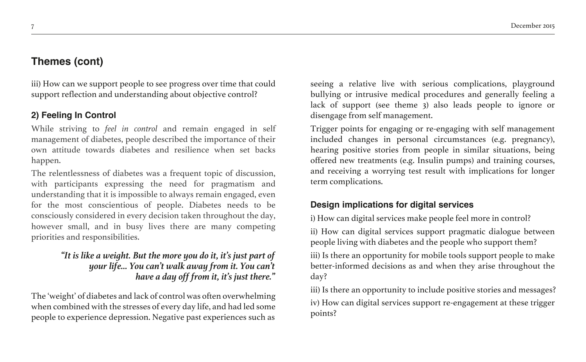iii) How can we support people to see progress over time that could support reflection and understanding about objective control?

## **2) Feeling In Control**

While striving to *feel in control* and remain engaged in self management of diabetes, people described the importance of their own attitude towards diabetes and resilience when set backs happen.

The relentlessness of diabetes was a frequent topic of discussion, with participants expressing the need for pragmatism and understanding that it is impossible to always remain engaged, even for the most conscientious of people. Diabetes needs to be consciously considered in every decision taken throughout the day, however small, and in busy lives there are many competing priorities and responsibilities.

## *"It is like a weight. But the more you do it, it's just part of your life… You can't walk away from it. You can't have a day off from it, it's just there."*

The 'weight' of diabetes and lack of control was often overwhelming when combined with the stresses of every day life, and had led some people to experience depression. Negative past experiences such as

seeing a relative live with serious complications, playground bullying or intrusive medical procedures and generally feeling a lack of support (see theme 3) also leads people to ignore or disengage from self management.

Trigger points for engaging or re-engaging with self management included changes in personal circumstances (e.g. pregnancy), hearing positive stories from people in similar situations, being offered new treatments (e.g. Insulin pumps) and training courses, and receiving a worrying test result with implications for longer term complications.

#### **Design implications for digital services**

i) How can digital services make people feel more in control?

ii) How can digital services support pragmatic dialogue between people living with diabetes and the people who support them?

iii) Is there an opportunity for mobile tools support people to make better-informed decisions as and when they arise throughout the day?

iii) Is there an opportunity to include positive stories and messages? iv) How can digital services support re-engagement at these trigger points?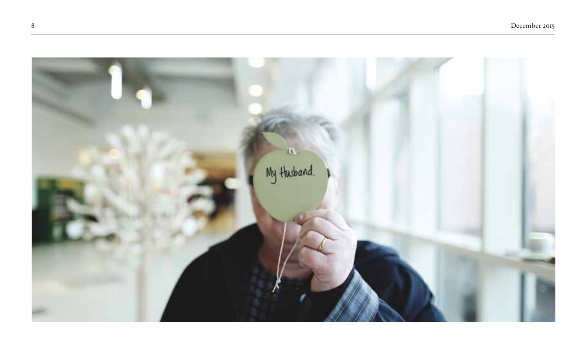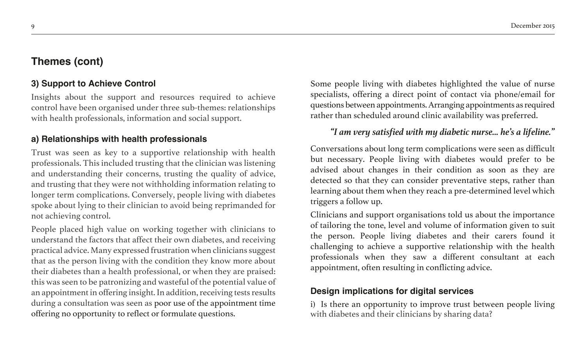#### **3) Support to Achieve Control**

Insights about the support and resources required to achieve control have been organised under three sub-themes: relationships with health professionals, information and social support.

#### **a) Relationships with health professionals**

Trust was seen as key to a supportive relationship with health professionals. This included trusting that the clinician was listening and understanding their concerns, trusting the quality of advice, and trusting that they were not withholding information relating to longer term complications. Conversely, people living with diabetes spoke about lying to their clinician to avoid being reprimanded for not achieving control.

People placed high value on working together with clinicians to understand the factors that affect their own diabetes, and receiving practical advice. Many expressed frustration when clinicians suggest that as the person living with the condition they know more about their diabetes than a health professional, or when they are praised: this was seen to be patronizing and wasteful of the potential value of an appointment in offering insight. In addition, receiving tests results during a consultation was seen as poor use of the appointment time offering no opportunity to reflect or formulate questions.

Some people living with diabetes highlighted the value of nurse specialists, offering a direct point of contact via phone/email for questions between appointments. Arranging appointments as required rather than scheduled around clinic availability was preferred.

## *"I am very satisfied with my diabetic nurse... he's a lifeline."*

Conversations about long term complications were seen as difficult but necessary. People living with diabetes would prefer to be advised about changes in their condition as soon as they are detected so that they can consider preventative steps, rather than learning about them when they reach a pre-determined level which triggers a follow up.

Clinicians and support organisations told us about the importance of tailoring the tone, level and volume of information given to suit the person. People living diabetes and their carers found it challenging to achieve a supportive relationship with the health professionals when they saw a different consultant at each appointment, often resulting in conflicting advice.

#### **Design implications for digital services**

i) Is there an opportunity to improve trust between people living with diabetes and their clinicians by sharing data?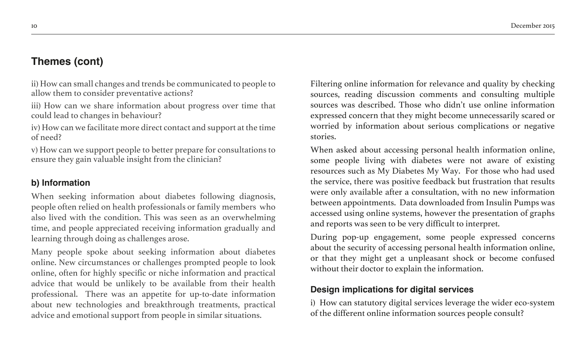ii) How can small changes and trends be communicated to people to allow them to consider preventative actions?

iii) How can we share information about progress over time that could lead to changes in behaviour?

iv) How can we facilitate more direct contact and support at the time of need?

v) How can we support people to better prepare for consultations to ensure they gain valuable insight from the clinician?

#### **b) Information**

When seeking information about diabetes following diagnosis, people often relied on health professionals or family members who also lived with the condition. This was seen as an overwhelming time, and people appreciated receiving information gradually and learning through doing as challenges arose.

Many people spoke about seeking information about diabetes online. New circumstances or challenges prompted people to look online, often for highly specific or niche information and practical advice that would be unlikely to be available from their health professional. There was an appetite for up-to-date information about new technologies and breakthrough treatments, practical advice and emotional support from people in similar situations.

Filtering online information for relevance and quality by checking sources, reading discussion comments and consulting multiple sources was described. Those who didn't use online information expressed concern that they might become unnecessarily scared or worried by information about serious complications or negative stories.

When asked about accessing personal health information online, some people living with diabetes were not aware of existing resources such as My Diabetes My Way. For those who had used the service, there was positive feedback but frustration that results were only available after a consultation, with no new information between appointments. Data downloaded from Insulin Pumps was accessed using online systems, however the presentation of graphs and reports was seen to be very difficult to interpret.

During pop-up engagement, some people expressed concerns about the security of accessing personal health information online, or that they might get a unpleasant shock or become confused without their doctor to explain the information.

#### **Design implications for digital services**

i) How can statutory digital services leverage the wider eco-system of the different online information sources people consult?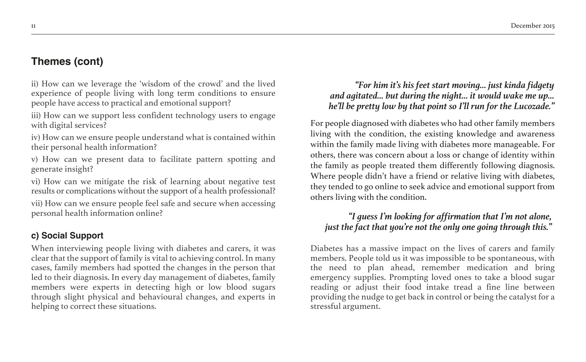ii) How can we leverage the 'wisdom of the crowd' and the lived experience of people living with long term conditions to ensure people have access to practical and emotional support?

iii) How can we support less confident technology users to engage with digital services?

iv) How can we ensure people understand what is contained within their personal health information?

v) How can we present data to facilitate pattern spotting and generate insight?

vi) How can we mitigate the risk of learning about negative test results or complications without the support of a health professional?

vii) How can we ensure people feel safe and secure when accessing personal health information online?

#### **c) Social Support**

When interviewing people living with diabetes and carers, it was clear that the support of family is vital to achieving control. In many cases, family members had spotted the changes in the person that led to their diagnosis. In every day management of diabetes, family members were experts in detecting high or low blood sugars through slight physical and behavioural changes, and experts in helping to correct these situations.

## *"For him it's his feet start moving… just kinda fidgety and agitated… but during the night… it would wake me up… he'll be pretty low by that point so I'll run for the Lucozade."*

For people diagnosed with diabetes who had other family members living with the condition, the existing knowledge and awareness within the family made living with diabetes more manageable. For others, there was concern about a loss or change of identity within the family as people treated them differently following diagnosis. Where people didn't have a friend or relative living with diabetes, they tended to go online to seek advice and emotional support from others living with the condition.

## *"I guess I'm looking for affirmation that I'm not alone, just the fact that you're not the only one going through this."*

Diabetes has a massive impact on the lives of carers and family members. People told us it was impossible to be spontaneous, with the need to plan ahead, remember medication and bring emergency supplies. Prompting loved ones to take a blood sugar reading or adjust their food intake tread a fine line between providing the nudge to get back in control or being the catalyst for a stressful argument.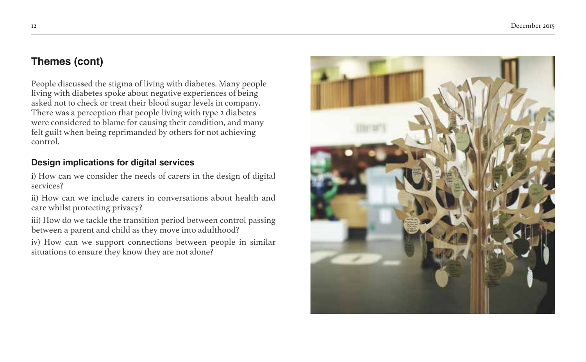People discussed the stigma of living with diabetes. Many people living with diabetes spoke about negative experiences of being asked not to check or treat their blood sugar levels in company. There was a perception that people living with type 2 diabetes were considered to blame for causing their condition, and many felt guilt when being reprimanded by others for not achieving control.

#### **Design implications for digital services**

i) How can we consider the needs of carers in the design of digital services?

ii) How can we include carers in conversations about health and care whilst protecting privacy?

iii) How do we tackle the transition period between control passing between a parent and child as they move into adulthood?

iv) How can we support connections between people in similar situations to ensure they know they are not alone?